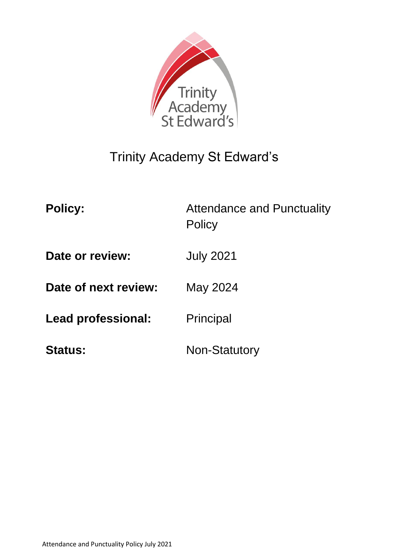

# Trinity Academy St Edward's

| <b>Policy:</b>       | <b>Attendance and Punctuality</b><br><b>Policy</b> |
|----------------------|----------------------------------------------------|
| Date or review:      | <b>July 2021</b>                                   |
| Date of next review: | May 2024                                           |
| Lead professional:   | Principal                                          |
| <b>Status:</b>       | <b>Non-Statutory</b>                               |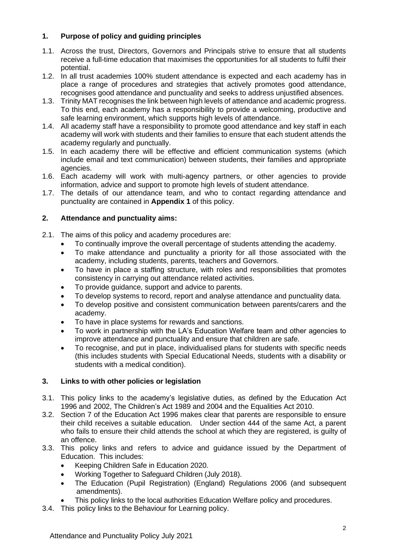# **1. Purpose of policy and guiding principles**

- 1.1. Across the trust, Directors, Governors and Principals strive to ensure that all students receive a full-time education that maximises the opportunities for all students to fulfil their potential.
- 1.2. In all trust academies 100% student attendance is expected and each academy has in place a range of procedures and strategies that actively promotes good attendance, recognises good attendance and punctuality and seeks to address unjustified absences.
- 1.3. Trinity MAT recognises the link between high levels of attendance and academic progress. To this end, each academy has a responsibility to provide a welcoming, productive and safe learning environment, which supports high levels of attendance.
- 1.4. All academy staff have a responsibility to promote good attendance and key staff in each academy will work with students and their families to ensure that each student attends the academy regularly and punctually.
- 1.5. In each academy there will be effective and efficient communication systems (which include email and text communication) between students, their families and appropriate agencies.
- 1.6. Each academy will work with multi-agency partners, or other agencies to provide information, advice and support to promote high levels of student attendance.
- 1.7. The details of our attendance team, and who to contact regarding attendance and punctuality are contained in **Appendix 1** of this policy.

# **2. Attendance and punctuality aims:**

- 2.1. The aims of this policy and academy procedures are:
	- To continually improve the overall percentage of students attending the academy.
	- To make attendance and punctuality a priority for all those associated with the academy, including students, parents, teachers and Governors.
	- To have in place a staffing structure, with roles and responsibilities that promotes consistency in carrying out attendance related activities.
	- To provide guidance, support and advice to parents.
	- To develop systems to record, report and analyse attendance and punctuality data.
	- To develop positive and consistent communication between parents/carers and the academy.
	- To have in place systems for rewards and sanctions.
	- To work in partnership with the LA's Education Welfare team and other agencies to improve attendance and punctuality and ensure that children are safe.
	- To recognise, and put in place, individualised plans for students with specific needs (this includes students with Special Educational Needs, students with a disability or students with a medical condition).

## **3. Links to with other policies or legislation**

- 3.1. This policy links to the academy's legislative duties, as defined by the Education Act 1996 and 2002, The Children's Act 1989 and 2004 and the Equalities Act 2010.
- 3.2. Section 7 of the Education Act 1996 makes clear that parents are responsible to ensure their child receives a suitable education. Under section 444 of the same Act, a parent who fails to ensure their child attends the school at which they are registered, is guilty of an offence.
- 3.3. This policy links and refers to advice and guidance issued by the Department of Education. This includes:
	- Keeping Children Safe in Education 2020.
	- Working Together to Safeguard Children (July 2018).
	- The Education (Pupil Registration) (England) Regulations 2006 (and subsequent amendments).
	- This policy links to the local authorities Education Welfare policy and procedures.
- 3.4. This policy links to the Behaviour for Learning policy.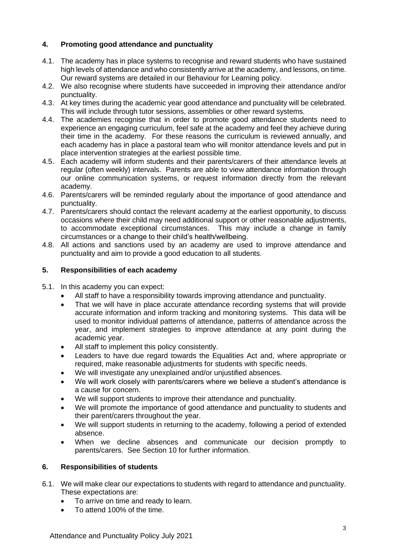# **4. Promoting good attendance and punctuality**

- 4.1. The academy has in place systems to recognise and reward students who have sustained high levels of attendance and who consistently arrive at the academy, and lessons, on time. Our reward systems are detailed in our Behaviour for Learning policy.
- 4.2. We also recognise where students have succeeded in improving their attendance and/or punctuality.
- 4.3. At key times during the academic year good attendance and punctuality will be celebrated. This will include through tutor sessions, assemblies or other reward systems.
- 4.4. The academies recognise that in order to promote good attendance students need to experience an engaging curriculum, feel safe at the academy and feel they achieve during their time in the academy. For these reasons the curriculum is reviewed annually, and each academy has in place a pastoral team who will monitor attendance levels and put in place intervention strategies at the earliest possible time.
- 4.5. Each academy will inform students and their parents/carers of their attendance levels at regular (often weekly) intervals. Parents are able to view attendance information through our online communication systems, or request information directly from the relevant academy.
- 4.6. Parents/carers will be reminded regularly about the importance of good attendance and punctuality.
- 4.7. Parents/carers should contact the relevant academy at the earliest opportunity, to discuss occasions where their child may need additional support or other reasonable adjustments, to accommodate exceptional circumstances. This may include a change in family circumstances or a change to their child's health/wellbeing.
- 4.8. All actions and sanctions used by an academy are used to improve attendance and punctuality and aim to provide a good education to all students.

#### **5. Responsibilities of each academy**

- 5.1. In this academy you can expect:
	- All staff to have a responsibility towards improving attendance and punctuality.
	- That we will have in place accurate attendance recording systems that will provide accurate information and inform tracking and monitoring systems. This data will be used to monitor individual patterns of attendance, patterns of attendance across the year, and implement strategies to improve attendance at any point during the academic year.
	- All staff to implement this policy consistently.
	- Leaders to have due regard towards the Equalities Act and, where appropriate or required, make reasonable adjustments for students with specific needs.
	- We will investigate any unexplained and/or unjustified absences.
	- We will work closely with parents/carers where we believe a student's attendance is a cause for concern.
	- We will support students to improve their attendance and punctuality.
	- We will promote the importance of good attendance and punctuality to students and their parent/carers throughout the year.
	- We will support students in returning to the academy, following a period of extended absence.
	- When we decline absences and communicate our decision promptly to parents/carers. See Section 10 for further information.

#### **6. Responsibilities of students**

- 6.1. We will make clear our expectations to students with regard to attendance and punctuality. These expectations are:
	- To arrive on time and ready to learn.
	- To attend 100% of the time.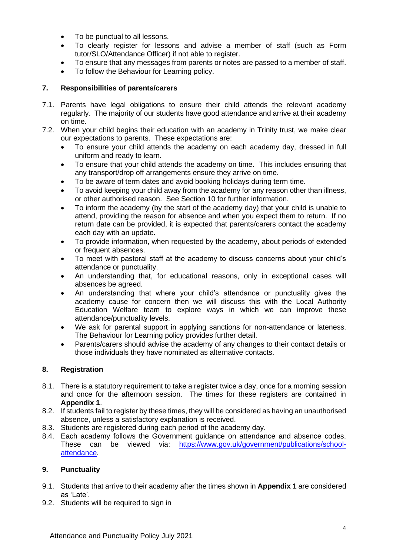- To be punctual to all lessons.
- To clearly register for lessons and advise a member of staff (such as Form tutor/SLO/Attendance Officer) if not able to register.
- To ensure that any messages from parents or notes are passed to a member of staff.
- To follow the Behaviour for Learning policy.

#### **7. Responsibilities of parents/carers**

- 7.1. Parents have legal obligations to ensure their child attends the relevant academy regularly. The majority of our students have good attendance and arrive at their academy on time.
- 7.2. When your child begins their education with an academy in Trinity trust, we make clear our expectations to parents. These expectations are:
	- To ensure your child attends the academy on each academy day, dressed in full uniform and ready to learn.
	- To ensure that your child attends the academy on time. This includes ensuring that any transport/drop off arrangements ensure they arrive on time.
	- To be aware of term dates and avoid booking holidays during term time.
	- To avoid keeping your child away from the academy for any reason other than illness, or other authorised reason. See Section 10 for further information.
	- To inform the academy (by the start of the academy day) that your child is unable to attend, providing the reason for absence and when you expect them to return. If no return date can be provided, it is expected that parents/carers contact the academy each day with an update.
	- To provide information, when requested by the academy, about periods of extended or frequent absences.
	- To meet with pastoral staff at the academy to discuss concerns about your child's attendance or punctuality.
	- An understanding that, for educational reasons, only in exceptional cases will absences be agreed.
	- An understanding that where your child's attendance or punctuality gives the academy cause for concern then we will discuss this with the Local Authority Education Welfare team to explore ways in which we can improve these attendance/punctuality levels.
	- We ask for parental support in applying sanctions for non-attendance or lateness. The Behaviour for Learning policy provides further detail.
	- Parents/carers should advise the academy of any changes to their contact details or those individuals they have nominated as alternative contacts.

## **8. Registration**

- 8.1. There is a statutory requirement to take a register twice a day, once for a morning session and once for the afternoon session. The times for these registers are contained in **Appendix 1**.
- 8.2. If students fail to register by these times, they will be considered as having an unauthorised absence, unless a satisfactory explanation is received.
- 8.3. Students are registered during each period of the academy day.
- 8.4. Each academy follows the Government guidance on attendance and absence codes. These can be viewed via: [https://www.gov.uk/government/publications/school](https://www.gov.uk/government/publications/school-attendance)[attendance.](https://www.gov.uk/government/publications/school-attendance)

#### **9. Punctuality**

- 9.1. Students that arrive to their academy after the times shown in **Appendix 1** are considered as 'Late'.
- 9.2. Students will be required to sign in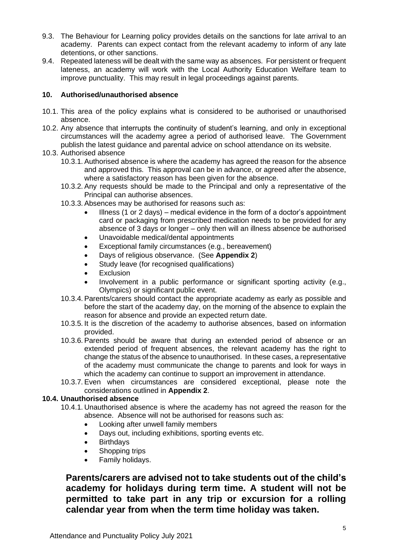- 9.3. The Behaviour for Learning policy provides details on the sanctions for late arrival to an academy. Parents can expect contact from the relevant academy to inform of any late detentions, or other sanctions.
- 9.4. Repeated lateness will be dealt with the same way as absences. For persistent or frequent lateness, an academy will work with the Local Authority Education Welfare team to improve punctuality. This may result in legal proceedings against parents.

#### **10. Authorised/unauthorised absence**

- 10.1. This area of the policy explains what is considered to be authorised or unauthorised absence.
- 10.2. Any absence that interrupts the continuity of student's learning, and only in exceptional circumstances will the academy agree a period of authorised leave. The Government publish the latest guidance and parental advice on school attendance on its website.
- 10.3. Authorised absence
	- 10.3.1. Authorised absence is where the academy has agreed the reason for the absence and approved this. This approval can be in advance, or agreed after the absence, where a satisfactory reason has been given for the absence.
	- 10.3.2. Any requests should be made to the Principal and only a representative of the Principal can authorise absences.
	- 10.3.3. Absences may be authorised for reasons such as:
		- Illness (1 or 2 days) medical evidence in the form of a doctor's appointment card or packaging from prescribed medication needs to be provided for any absence of 3 days or longer – only then will an illness absence be authorised
		- Unavoidable medical/dental appointments
		- Exceptional family circumstances (e.g., bereavement)
		- Days of religious observance. (See **Appendix 2**)
		- Study leave (for recognised qualifications)
		- **Exclusion**
		- Involvement in a public performance or significant sporting activity (e.g., Olympics) or significant public event.
	- 10.3.4. Parents/carers should contact the appropriate academy as early as possible and before the start of the academy day, on the morning of the absence to explain the reason for absence and provide an expected return date.
	- 10.3.5. It is the discretion of the academy to authorise absences, based on information provided.
	- 10.3.6. Parents should be aware that during an extended period of absence or an extended period of frequent absences, the relevant academy has the right to change the status of the absence to unauthorised. In these cases, a representative of the academy must communicate the change to parents and look for ways in which the academy can continue to support an improvement in attendance.
	- 10.3.7. Even when circumstances are considered exceptional, please note the considerations outlined in **Appendix 2**.

#### **10.4. Unauthorised absence**

- 10.4.1. Unauthorised absence is where the academy has not agreed the reason for the absence. Absence will not be authorised for reasons such as:
	- Looking after unwell family members
	- Days out, including exhibitions, sporting events etc.
	- Birthdays
	- Shopping trips
	- Family holidays.

**Parents/carers are advised not to take students out of the child's academy for holidays during term time. A student will not be permitted to take part in any trip or excursion for a rolling calendar year from when the term time holiday was taken.**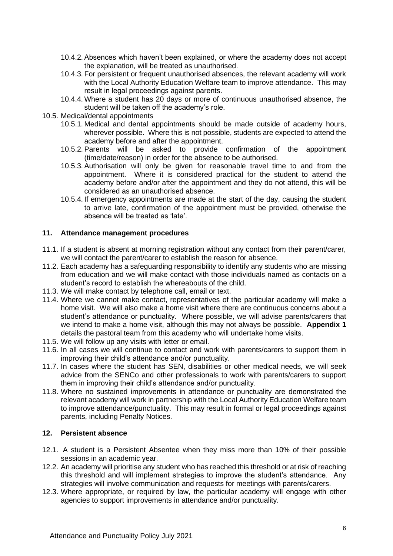- 10.4.2. Absences which haven't been explained, or where the academy does not accept the explanation, will be treated as unauthorised.
- 10.4.3. For persistent or frequent unauthorised absences, the relevant academy will work with the Local Authority Education Welfare team to improve attendance. This may result in legal proceedings against parents.
- 10.4.4. Where a student has 20 days or more of continuous unauthorised absence, the student will be taken off the academy's role.
- 10.5. Medical/dental appointments
	- 10.5.1. Medical and dental appointments should be made outside of academy hours, wherever possible. Where this is not possible, students are expected to attend the academy before and after the appointment.
	- 10.5.2. Parents will be asked to provide confirmation of the appointment (time/date/reason) in order for the absence to be authorised.
	- 10.5.3. Authorisation will only be given for reasonable travel time to and from the appointment. Where it is considered practical for the student to attend the academy before and/or after the appointment and they do not attend, this will be considered as an unauthorised absence.
	- 10.5.4. If emergency appointments are made at the start of the day, causing the student to arrive late, confirmation of the appointment must be provided, otherwise the absence will be treated as 'late'.

#### **11. Attendance management procedures**

- 11.1. If a student is absent at morning registration without any contact from their parent/carer, we will contact the parent/carer to establish the reason for absence.
- 11.2. Each academy has a safeguarding responsibility to identify any students who are missing from education and we will make contact with those individuals named as contacts on a student's record to establish the whereabouts of the child.
- 11.3. We will make contact by telephone call, email or text.
- 11.4. Where we cannot make contact, representatives of the particular academy will make a home visit. We will also make a home visit where there are continuous concerns about a student's attendance or punctuality. Where possible, we will advise parents/carers that we intend to make a home visit, although this may not always be possible. **Appendix 1** details the pastoral team from this academy who will undertake home visits.
- 11.5. We will follow up any visits with letter or email.
- 11.6. In all cases we will continue to contact and work with parents/carers to support them in improving their child's attendance and/or punctuality.
- 11.7. In cases where the student has SEN, disabilities or other medical needs, we will seek advice from the SENCo and other professionals to work with parents/carers to support them in improving their child's attendance and/or punctuality.
- 11.8. Where no sustained improvements in attendance or punctuality are demonstrated the relevant academy will work in partnership with the Local Authority Education Welfare team to improve attendance/punctuality. This may result in formal or legal proceedings against parents, including Penalty Notices.

# **12. Persistent absence**

- 12.1. A student is a Persistent Absentee when they miss more than 10% of their possible sessions in an academic year.
- 12.2. An academy will prioritise any student who has reached this threshold or at risk of reaching this threshold and will implement strategies to improve the student's attendance. Any strategies will involve communication and requests for meetings with parents/carers.
- 12.3. Where appropriate, or required by law, the particular academy will engage with other agencies to support improvements in attendance and/or punctuality.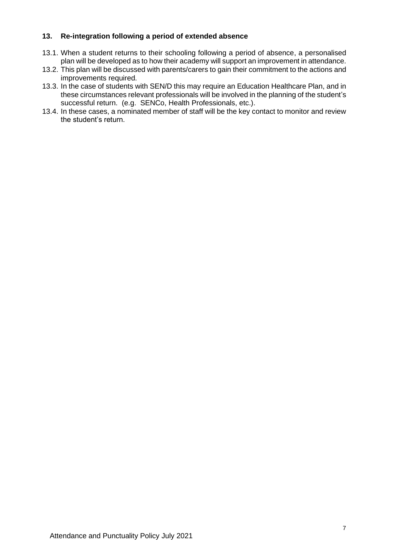#### **13. Re-integration following a period of extended absence**

- 13.1. When a student returns to their schooling following a period of absence, a personalised plan will be developed as to how their academy will support an improvement in attendance.
- 13.2. This plan will be discussed with parents/carers to gain their commitment to the actions and improvements required.
- 13.3. In the case of students with SEN/D this may require an Education Healthcare Plan, and in these circumstances relevant professionals will be involved in the planning of the student's successful return. (e.g. SENCo, Health Professionals, etc.).
- 13.4. In these cases, a nominated member of staff will be the key contact to monitor and review the student's return.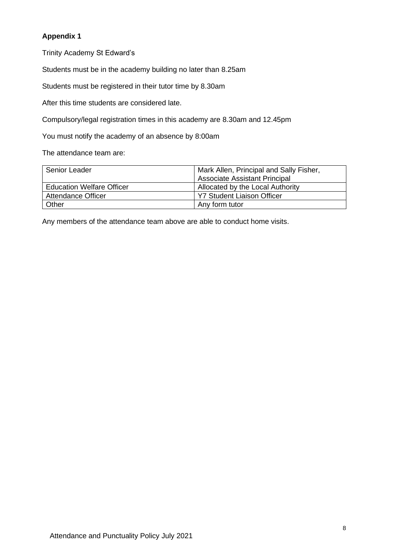# **Appendix 1**

Trinity Academy St Edward's

Students must be in the academy building no later than 8.25am

Students must be registered in their tutor time by 8.30am

After this time students are considered late.

Compulsory/legal registration times in this academy are 8.30am and 12.45pm

You must notify the academy of an absence by 8:00am

The attendance team are:

| Senior Leader                    | Mark Allen, Principal and Sally Fisher, |
|----------------------------------|-----------------------------------------|
|                                  | <b>Associate Assistant Principal</b>    |
| <b>Education Welfare Officer</b> | Allocated by the Local Authority        |
| <b>Attendance Officer</b>        | <b>Y7 Student Liaison Officer</b>       |
| Other                            | Any form tutor                          |

Any members of the attendance team above are able to conduct home visits.